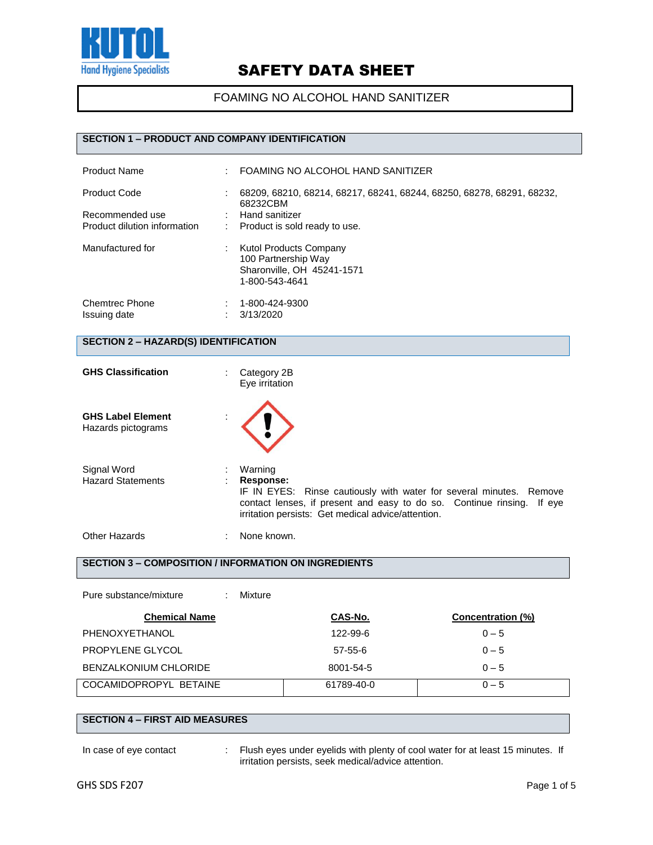

FOAMING NO ALCOHOL HAND SANITIZER

## **SECTION 1 – PRODUCT AND COMPANY IDENTIFICATION**

| <b>Product Name</b>                                                    | ٠      | FOAMING NO ALCOHOL HAND SANITIZER                                                                                                    |
|------------------------------------------------------------------------|--------|--------------------------------------------------------------------------------------------------------------------------------------|
| <b>Product Code</b><br>Recommended use<br>Product dilution information | ٠<br>÷ | 68209, 68210, 68214, 68217, 68241, 68244, 68250, 68278, 68291, 68232,<br>68232CBM<br>Hand sanitizer<br>Product is sold ready to use. |
| Manufactured for                                                       |        | Kutol Products Company<br>100 Partnership Way<br>Sharonville, OH 45241-1571<br>1-800-543-4641                                        |
| <b>Chemtrec Phone</b><br>Issuing date                                  |        | 1-800-424-9300<br>3/13/2020                                                                                                          |

### **SECTION 2 – HAZARD(S) IDENTIFICATION**

| <b>GHS Classification</b>                      | Category 2B<br>Eye irritation                                                                                                                                                                                               |  |
|------------------------------------------------|-----------------------------------------------------------------------------------------------------------------------------------------------------------------------------------------------------------------------------|--|
| <b>GHS Label Element</b><br>Hazards pictograms |                                                                                                                                                                                                                             |  |
| Signal Word<br><b>Hazard Statements</b>        | Warning<br>Response:<br>IF IN EYES: Rinse cautiously with water for several minutes. Remove<br>contact lenses, if present and easy to do so. Continue rinsing. If eye<br>irritation persists: Get medical advice/attention. |  |
| Other Hazards                                  | None known.                                                                                                                                                                                                                 |  |

## **SECTION 3 – COMPOSITION / INFORMATION ON INGREDIENTS**

| Pure substance/mixture<br>Mixture |            |                   |
|-----------------------------------|------------|-------------------|
| <b>Chemical Name</b>              | CAS-No.    | Concentration (%) |
| PHENOXYETHANOL                    | 122-99-6   | $0 - 5$           |
| PROPYLENE GLYCOL                  | $57-55-6$  | $0 - 5$           |
| <b>BENZALKONIUM CHLORIDE</b>      | 8001-54-5  | $0 - 5$           |
| COCAMIDOPROPYL BETAINE            | 61789-40-0 | $0 - 5$           |

#### **SECTION 4 – FIRST AID MEASURES**

In case of eye contact : Flush eyes under eyelids with plenty of cool water for at least 15 minutes. If irritation persists, seek medical/advice attention.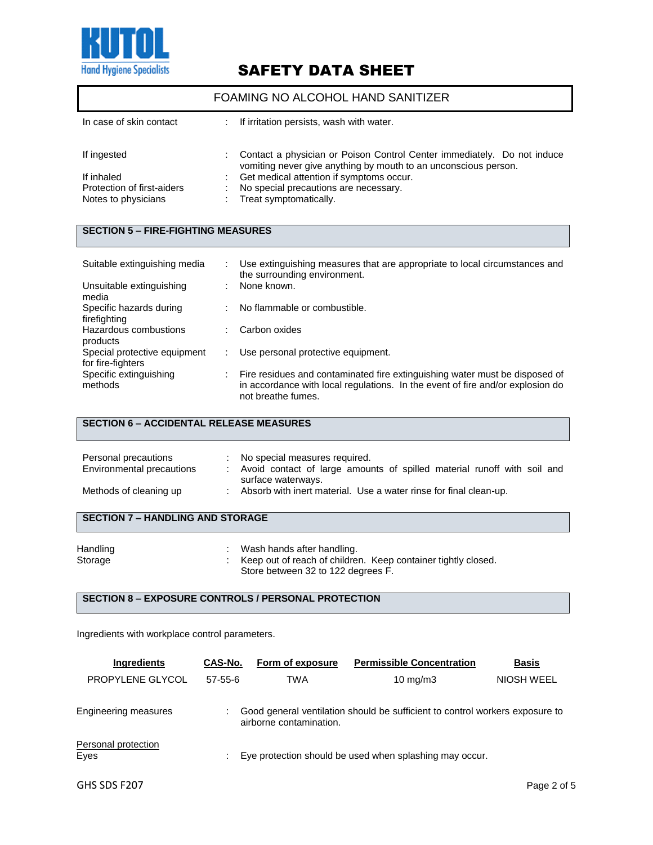

### FOAMING NO ALCOHOL HAND SANITIZER

| In case of skin contact    | If irritation persists, wash with water.                                                                                                   |
|----------------------------|--------------------------------------------------------------------------------------------------------------------------------------------|
|                            |                                                                                                                                            |
| If ingested                | Contact a physician or Poison Control Center immediately. Do not induce<br>vomiting never give anything by mouth to an unconscious person. |
| If inhaled                 | Get medical attention if symptoms occur.                                                                                                   |
| Protection of first-aiders | No special precautions are necessary.                                                                                                      |
| Notes to physicians        | Treat symptomatically.                                                                                                                     |

## **SECTION 5 – FIRE-FIGHTING MEASURES**

| Suitable extinguishing media                      |   | Use extinguishing measures that are appropriate to local circumstances and<br>the surrounding environment.                                                                          |
|---------------------------------------------------|---|-------------------------------------------------------------------------------------------------------------------------------------------------------------------------------------|
| Unsuitable extinguishing<br>media                 | ÷ | None known.                                                                                                                                                                         |
| Specific hazards during<br>firefighting           | ÷ | No flammable or combustible.                                                                                                                                                        |
| Hazardous combustions<br>products                 |   | Carbon oxides                                                                                                                                                                       |
| Special protective equipment<br>for fire-fighters |   | Use personal protective equipment.                                                                                                                                                  |
| Specific extinguishing<br>methods                 |   | Fire residues and contaminated fire extinguishing water must be disposed of<br>in accordance with local regulations. In the event of fire and/or explosion do<br>not breathe fumes. |

## **SECTION 6 – ACCIDENTAL RELEASE MEASURES**

| Personal precautions<br>Environmental precautions | No special measures required.<br>Avoid contact of large amounts of spilled material runoff with soil and |
|---------------------------------------------------|----------------------------------------------------------------------------------------------------------|
| Methods of cleaning up                            | surface waterways.<br>Absorb with inert material. Use a water rinse for final clean-up.                  |

## **SECTION 7 – HANDLING AND STORAGE**

| Handling | Wash hands after handling.                                    |
|----------|---------------------------------------------------------------|
| Storage  | Keep out of reach of children. Keep container tightly closed. |
|          | Store between 32 to 122 degrees F.                            |

## **SECTION 8 – EXPOSURE CONTROLS / PERSONAL PROTECTION**

Ingredients with workplace control parameters.

| <b>Ingredients</b>          | CAS-No.   | Form of exposure        | <b>Permissible Concentration</b>                                             | <b>Basis</b> |
|-----------------------------|-----------|-------------------------|------------------------------------------------------------------------------|--------------|
| PROPYLENE GLYCOL            | $57-55-6$ | TWA                     | $10 \text{ mg/m}$                                                            | NIOSH WEEL   |
| Engineering measures        |           | airborne contamination. | Good general ventilation should be sufficient to control workers exposure to |              |
| Personal protection<br>Eyes |           |                         | Eye protection should be used when splashing may occur.                      |              |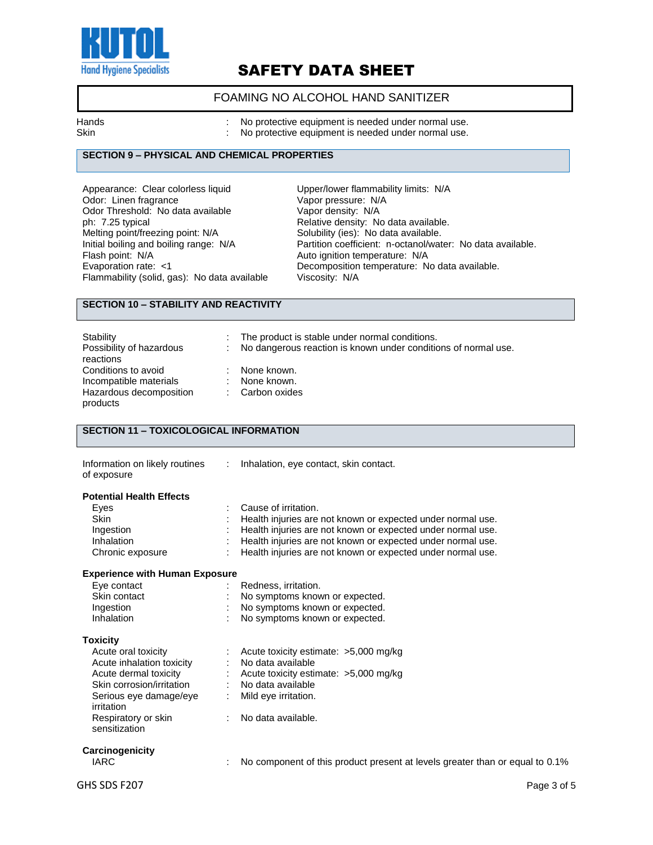

## FOAMING NO ALCOHOL HAND SANITIZER

Hands **Example 20** Hands : No protective equipment is needed under normal use.

Skin **Skin Skin Skin Skin Skin Skin Skin normal use. No** protective equipment is needed under normal use.

## **SECTION 9 – PHYSICAL AND CHEMICAL PROPERTIES**

Appearance: Clear colorless liquid<br>
Odor: Linen fragrance 
Upper/lower flammability limits: N/A<br>
Vapor pressure: N/A Odor: Linen fragrance vapor bressure: N/<br>
Odor Threshold: No data available vapor density: N/A Odor Threshold: No data available<br>ph: 7.25 typical metting point/freezing point: N/A<br>Initial boiling and boiling range: N/A Flash point: N/A<br>
Evaporation rate: <1 Channel Auto ignition temperature: N/A<br>
Decomposition temperature: N Flammability (solid, gas): No data available

Relative density: No data available.<br>Solubility (ies): No data available. Initial boiling and boiling range: N/A Partition coefficient: n-octanol/water: No data available.<br>Flash point: N/A **Partition in the Auto ignition temperature: N/A** Decomposition temperature: No data available.<br>Viscosity: N/A

#### **SECTION 10 – STABILITY AND REACTIVITY**

| Stability<br>Possibility of hazardous<br>reactions | t.<br>÷ | The product is stable under normal conditions.<br>No dangerous reaction is known under conditions of normal use. |
|----------------------------------------------------|---------|------------------------------------------------------------------------------------------------------------------|
| Conditions to avoid<br>Incompatible materials      | ٠       | None known.<br>None known.                                                                                       |
| Hazardous decomposition<br>products                |         | Carbon oxides                                                                                                    |

## **SECTION 11 – TOXICOLOGICAL INFORMATION**

| Information on likely routines<br>of exposure | $\mathbb{R}^n$ | Inhalation, eye contact, skin contact.                                       |
|-----------------------------------------------|----------------|------------------------------------------------------------------------------|
| <b>Potential Health Effects</b>               |                |                                                                              |
| Eyes                                          |                | Cause of irritation.                                                         |
| <b>Skin</b>                                   |                | Health injuries are not known or expected under normal use.                  |
| Ingestion                                     |                | Health injuries are not known or expected under normal use.                  |
| Inhalation                                    |                | Health injuries are not known or expected under normal use.                  |
| Chronic exposure                              |                | Health injuries are not known or expected under normal use.                  |
| <b>Experience with Human Exposure</b>         |                |                                                                              |
| Eye contact                                   |                | Redness, irritation.                                                         |
| Skin contact                                  |                | No symptoms known or expected.                                               |
| Ingestion                                     |                | No symptoms known or expected.                                               |
| Inhalation                                    |                | No symptoms known or expected.                                               |
| <b>Toxicity</b>                               |                |                                                                              |
| Acute oral toxicity                           |                | Acute toxicity estimate: $>5,000$ mg/kg                                      |
| Acute inhalation toxicity                     |                | : No data available                                                          |
| Acute dermal toxicity                         |                | : Acute toxicity estimate: >5,000 mg/kg                                      |
| Skin corrosion/irritation                     |                | : No data available                                                          |
| Serious eye damage/eye                        |                | Mild eye irritation.                                                         |
| irritation                                    |                |                                                                              |
| Respiratory or skin<br>sensitization          |                | No data available.                                                           |
|                                               |                |                                                                              |
| Carcinogenicity                               |                |                                                                              |
| <b>IARC</b>                                   |                | No component of this product present at levels greater than or equal to 0.1% |
| GHS SDS F207                                  |                | Page 3 of 5                                                                  |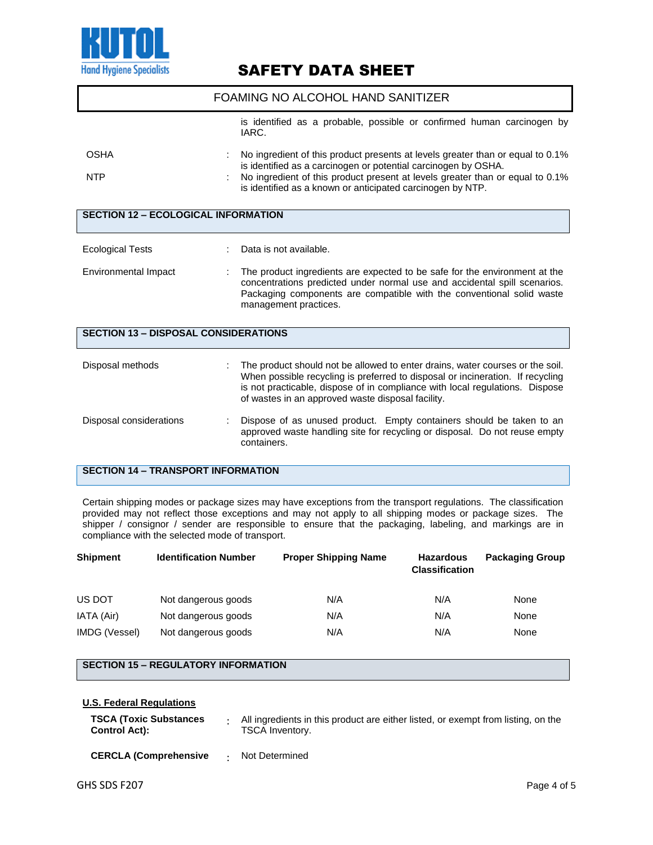

|             | FOAMING NO ALCOHOL HAND SANITIZER                                                                                                                |
|-------------|--------------------------------------------------------------------------------------------------------------------------------------------------|
|             | is identified as a probable, possible or confirmed human carcinogen by<br>IARC.                                                                  |
| <b>OSHA</b> | No ingredient of this product presents at levels greater than or equal to 0.1%<br>is identified as a carcinogen or potential carcinogen by OSHA. |
| <b>NTP</b>  | No ingredient of this product present at levels greater than or equal to 0.1%<br>is identified as a known or anticipated carcinogen by NTP.      |

| <b>SECTION 12 - ECOLOGICAL INFORMATION</b>  |  |                                                                                                                                                                                                                                                                                                      |  |
|---------------------------------------------|--|------------------------------------------------------------------------------------------------------------------------------------------------------------------------------------------------------------------------------------------------------------------------------------------------------|--|
| <b>Ecological Tests</b>                     |  | Data is not available.                                                                                                                                                                                                                                                                               |  |
| Environmental Impact                        |  | The product ingredients are expected to be safe for the environment at the<br>concentrations predicted under normal use and accidental spill scenarios.<br>Packaging components are compatible with the conventional solid waste<br>management practices.                                            |  |
| <b>SECTION 13 - DISPOSAL CONSIDERATIONS</b> |  |                                                                                                                                                                                                                                                                                                      |  |
| Disposal methods                            |  | The product should not be allowed to enter drains, water courses or the soil.<br>When possible recycling is preferred to disposal or incineration. If recycling<br>is not practicable, dispose of in compliance with local regulations. Dispose<br>of wastes in an approved waste disposal facility. |  |
| Disposal considerations                     |  | Dispose of as unused product. Empty containers should be taken to an<br>approved waste handling site for recycling or disposal. Do not reuse empty<br>containers.                                                                                                                                    |  |

## **SECTION 14 – TRANSPORT INFORMATION**

Certain shipping modes or package sizes may have exceptions from the transport regulations. The classification provided may not reflect those exceptions and may not apply to all shipping modes or package sizes. The shipper / consignor / sender are responsible to ensure that the packaging, labeling, and markings are in compliance with the selected mode of transport.

| <b>Shipment</b> | <b>Identification Number</b> | <b>Proper Shipping Name</b> | <b>Hazardous</b><br><b>Classification</b> | <b>Packaging Group</b> |
|-----------------|------------------------------|-----------------------------|-------------------------------------------|------------------------|
| US DOT          | Not dangerous goods          | N/A                         | N/A                                       | None                   |
| IATA (Air)      | Not dangerous goods          | N/A                         | N/A                                       | None                   |
| IMDG (Vessel)   | Not dangerous goods          | N/A                         | N/A                                       | None                   |

## **SECTION 15 – REGULATORY INFORMATION**

#### **U.S. Federal Regulations**

| TSCA (Toxic Substances<br>Control Act): | All ingredients in this product are either listed, or exempt from listing, on the<br><b>TSCA Inventory.</b> |
|-----------------------------------------|-------------------------------------------------------------------------------------------------------------|
|                                         |                                                                                                             |

**CERCLA (Comprehensive** : Not Determined

I